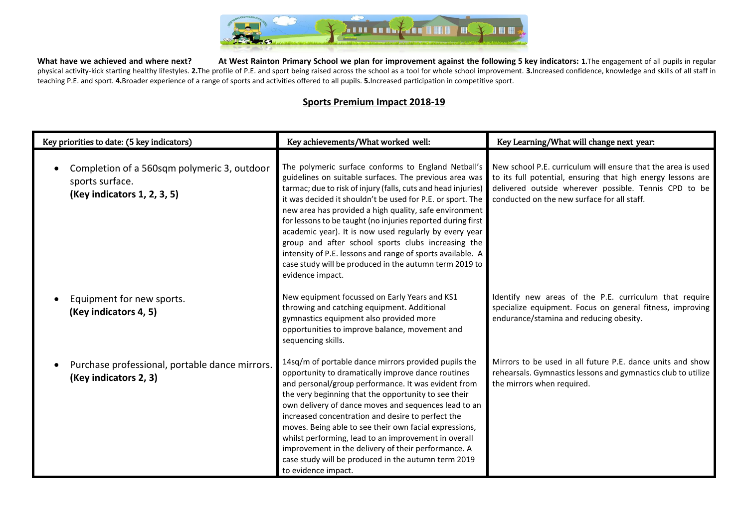

What have we achieved and where next? At West Rainton Primary School we plan for improvement against the following 5 key indicators: 1. The engagement of all pupils in regular physical activity-kick starting healthy lifestyles. 2. The profile of P.E. and sport being raised across the school as a tool for whole school improvement. 3. Increased confidence, knowledge and skills of all staff in teaching P.E. and sport. **4.**Broader experience of a range of sports and activities offered to all pupils. **5.**Increased participation in competitive sport.

## **Sports Premium Impact 2018-19**

| Key priorities to date: (5 key indicators)                                                    | Key achievements/What worked well:                                                                                                                                                                                                                                                                                                                                                                                                                                                                                                                                                                                                | Key Learning/What will change next year:                                                                                                                                                                                             |  |  |
|-----------------------------------------------------------------------------------------------|-----------------------------------------------------------------------------------------------------------------------------------------------------------------------------------------------------------------------------------------------------------------------------------------------------------------------------------------------------------------------------------------------------------------------------------------------------------------------------------------------------------------------------------------------------------------------------------------------------------------------------------|--------------------------------------------------------------------------------------------------------------------------------------------------------------------------------------------------------------------------------------|--|--|
| Completion of a 560sqm polymeric 3, outdoor<br>sports surface.<br>(Key indicators 1, 2, 3, 5) | The polymeric surface conforms to England Netball's<br>guidelines on suitable surfaces. The previous area was<br>tarmac; due to risk of injury (falls, cuts and head injuries)<br>it was decided it shouldn't be used for P.E. or sport. The<br>new area has provided a high quality, safe environment<br>for lessons to be taught (no injuries reported during first<br>academic year). It is now used regularly by every year<br>group and after school sports clubs increasing the<br>intensity of P.E. lessons and range of sports available. A<br>case study will be produced in the autumn term 2019 to<br>evidence impact. | New school P.E. curriculum will ensure that the area is used<br>to its full potential, ensuring that high energy lessons are<br>delivered outside wherever possible. Tennis CPD to be<br>conducted on the new surface for all staff. |  |  |
| Equipment for new sports.<br>(Key indicators 4, 5)                                            | New equipment focussed on Early Years and KS1<br>throwing and catching equipment. Additional<br>gymnastics equipment also provided more<br>opportunities to improve balance, movement and<br>sequencing skills.                                                                                                                                                                                                                                                                                                                                                                                                                   | Identify new areas of the P.E. curriculum that require<br>specialize equipment. Focus on general fitness, improving<br>endurance/stamina and reducing obesity.                                                                       |  |  |
| Purchase professional, portable dance mirrors.<br>(Key indicators 2, 3)                       | 14sq/m of portable dance mirrors provided pupils the<br>opportunity to dramatically improve dance routines<br>and personal/group performance. It was evident from<br>the very beginning that the opportunity to see their<br>own delivery of dance moves and sequences lead to an<br>increased concentration and desire to perfect the<br>moves. Being able to see their own facial expressions,<br>whilst performing, lead to an improvement in overall<br>improvement in the delivery of their performance. A<br>case study will be produced in the autumn term 2019<br>to evidence impact.                                     | Mirrors to be used in all future P.E. dance units and show<br>rehearsals. Gymnastics lessons and gymnastics club to utilize<br>the mirrors when required.                                                                            |  |  |